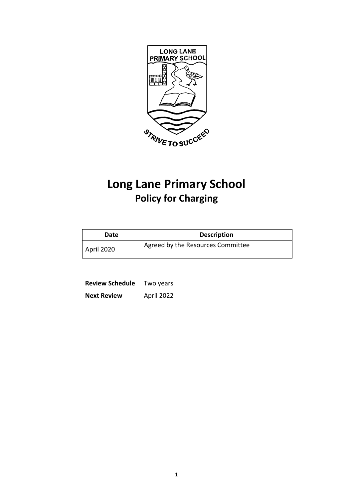

# **Long Lane Primary School Policy for Charging**

| Date       | <b>Description</b>                |
|------------|-----------------------------------|
| April 2020 | Agreed by the Resources Committee |

| <b>Review Schedule</b>   Two years |            |
|------------------------------------|------------|
| <b>Next Review</b>                 | April 2022 |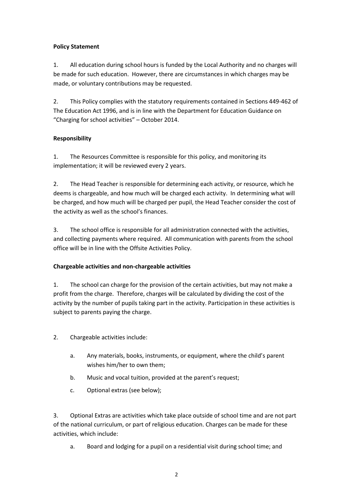#### **Policy Statement**

1. All education during school hours is funded by the Local Authority and no charges will be made for such education. However, there are circumstances in which charges may be made, or voluntary contributions may be requested.

2. This Policy complies with the statutory requirements contained in Sections 449-462 of The Education Act 1996, and is in line with the Department for Education Guidance on "Charging for school activities" – October 2014.

## **Responsibility**

1. The Resources Committee is responsible for this policy, and monitoring its implementation; it will be reviewed every 2 years.

2. The Head Teacher is responsible for determining each activity, or resource, which he deems is chargeable, and how much will be charged each activity. In determining what will be charged, and how much will be charged per pupil, the Head Teacher consider the cost of the activity as well as the school's finances.

3. The school office is responsible for all administration connected with the activities, and collecting payments where required. All communication with parents from the school office will be in line with the Offsite Activities Policy.

#### **Chargeable activities and non-chargeable activities**

1. The school can charge for the provision of the certain activities, but may not make a profit from the charge. Therefore, charges will be calculated by dividing the cost of the activity by the number of pupils taking part in the activity. Participation in these activities is subject to parents paying the charge.

2. Chargeable activities include:

- a. Any materials, books, instruments, or equipment, where the child's parent wishes him/her to own them;
- b. Music and vocal tuition, provided at the parent's request;
- c. Optional extras (see below);

3. Optional Extras are activities which take place outside of school time and are not part of the national curriculum, or part of religious education. Charges can be made for these activities, which include:

a. Board and lodging for a pupil on a residential visit during school time; and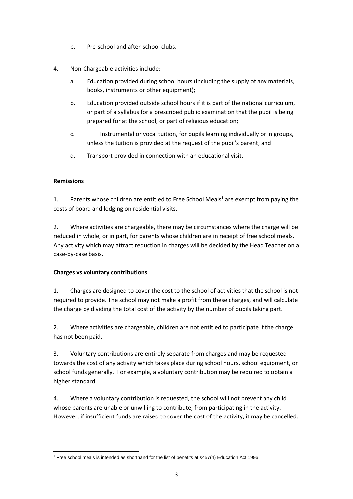- b. Pre-school and after-school clubs.
- 4. Non-Chargeable activities include:
	- a. Education provided during school hours (including the supply of any materials, books, instruments or other equipment);
	- b. Education provided outside school hours if it is part of the national curriculum, or part of a syllabus for a prescribed public examination that the pupil is being prepared for at the school, or part of religious education;
	- c. Instrumental or vocal tuition, for pupils learning individually or in groups, unless the tuition is provided at the request of the pupil's parent; and
	- d. Transport provided in connection with an educational visit.

## **Remissions**

1. Parents whose children are entitled to Free School Meals<sup>1</sup> are exempt from paying the costs of board and lodging on residential visits.

2. Where activities are chargeable, there may be circumstances where the charge will be reduced in whole, or in part, for parents whose children are in receipt of free school meals. Any activity which may attract reduction in charges will be decided by the Head Teacher on a case-by-case basis.

#### **Charges vs voluntary contributions**

1. Charges are designed to cover the cost to the school of activities that the school is not required to provide. The school may not make a profit from these charges, and will calculate the charge by dividing the total cost of the activity by the number of pupils taking part.

2. Where activities are chargeable, children are not entitled to participate if the charge has not been paid.

3. Voluntary contributions are entirely separate from charges and may be requested towards the cost of any activity which takes place during school hours, school equipment, or school funds generally. For example, a voluntary contribution may be required to obtain a higher standard

4. Where a voluntary contribution is requested, the school will not prevent any child whose parents are unable or unwilling to contribute, from participating in the activity. However, if insufficient funds are raised to cover the cost of the activity, it may be cancelled.

<sup>1</sup> <sup>1</sup> Free school meals is intended as shorthand for the list of benefits at s457(4) Education Act 1996